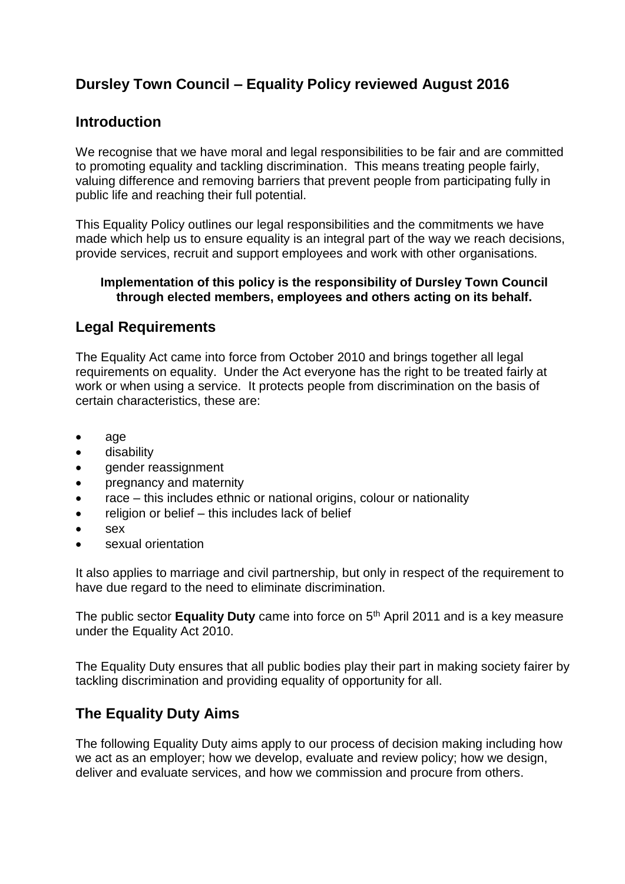## **Dursley Town Council – Equality Policy reviewed August 2016**

#### **Introduction**

We recognise that we have moral and legal responsibilities to be fair and are committed to promoting equality and tackling discrimination. This means treating people fairly, valuing difference and removing barriers that prevent people from participating fully in public life and reaching their full potential.

This Equality Policy outlines our legal responsibilities and the commitments we have made which help us to ensure equality is an integral part of the way we reach decisions, provide services, recruit and support employees and work with other organisations.

#### **Implementation of this policy is the responsibility of Dursley Town Council through elected members, employees and others acting on its behalf.**

#### **Legal Requirements**

The Equality Act came into force from October 2010 and brings together all legal requirements on equality. Under the Act everyone has the right to be treated fairly at work or when using a service. It protects people from discrimination on the basis of certain characteristics, these are:

- age
- **•** disability
- gender reassignment
- pregnancy and maternity
- race this includes ethnic or national origins, colour or nationality
- religion or belief this includes lack of belief
- sex
- sexual orientation

It also applies to marriage and civil partnership, but only in respect of the requirement to have due regard to the need to eliminate discrimination.

The public sector **Equality Duty** came into force on 5<sup>th</sup> April 2011 and is a key measure under the Equality Act 2010.

The Equality Duty ensures that all public bodies play their part in making society fairer by tackling discrimination and providing equality of opportunity for all.

## **The Equality Duty Aims**

The following Equality Duty aims apply to our process of decision making including how we act as an employer; how we develop, evaluate and review policy; how we design, deliver and evaluate services, and how we commission and procure from others.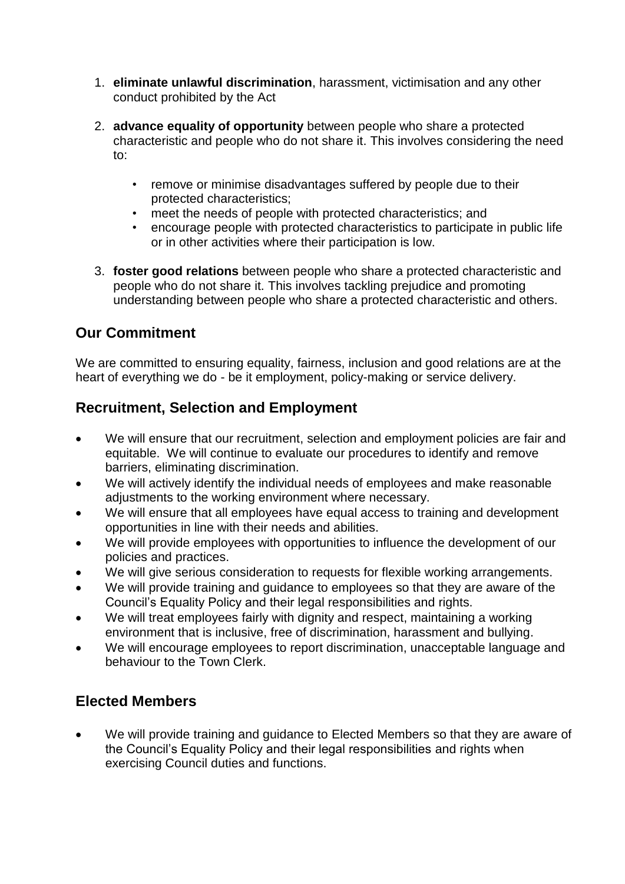- 1. **eliminate unlawful discrimination**, harassment, victimisation and any other conduct prohibited by the Act
- 2. **advance equality of opportunity** between people who share a protected characteristic and people who do not share it. This involves considering the need to:
	- remove or minimise disadvantages suffered by people due to their protected characteristics;
	- meet the needs of people with protected characteristics; and
	- encourage people with protected characteristics to participate in public life or in other activities where their participation is low.
- 3. **foster good relations** between people who share a protected characteristic and people who do not share it. This involves tackling prejudice and promoting understanding between people who share a protected characteristic and others.

#### **Our Commitment**

We are committed to ensuring equality, fairness, inclusion and good relations are at the heart of everything we do - be it employment, policy-making or service delivery.

### **Recruitment, Selection and Employment**

- We will ensure that our recruitment, selection and employment policies are fair and equitable. We will continue to evaluate our procedures to identify and remove barriers, eliminating discrimination.
- We will actively identify the individual needs of employees and make reasonable adjustments to the working environment where necessary.
- We will ensure that all employees have equal access to training and development opportunities in line with their needs and abilities.
- We will provide employees with opportunities to influence the development of our policies and practices.
- We will give serious consideration to requests for flexible working arrangements.
- We will provide training and guidance to employees so that they are aware of the Council's Equality Policy and their legal responsibilities and rights.
- We will treat employees fairly with dignity and respect, maintaining a working environment that is inclusive, free of discrimination, harassment and bullying.
- We will encourage employees to report discrimination, unacceptable language and behaviour to the Town Clerk.

#### **Elected Members**

 We will provide training and guidance to Elected Members so that they are aware of the Council's Equality Policy and their legal responsibilities and rights when exercising Council duties and functions.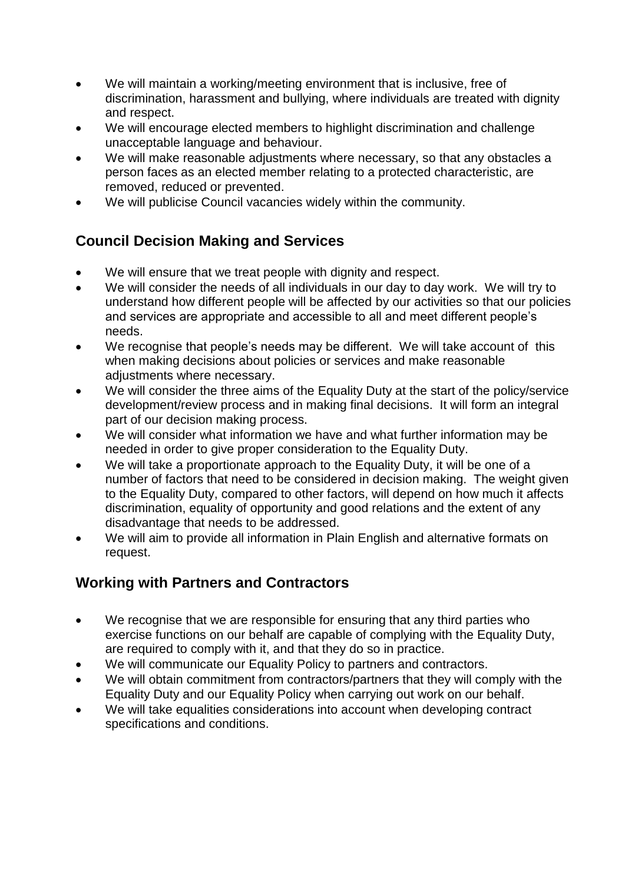- We will maintain a working/meeting environment that is inclusive, free of discrimination, harassment and bullying, where individuals are treated with dignity and respect.
- We will encourage elected members to highlight discrimination and challenge unacceptable language and behaviour.
- We will make reasonable adjustments where necessary, so that any obstacles a person faces as an elected member relating to a protected characteristic, are removed, reduced or prevented.
- We will publicise Council vacancies widely within the community.

# **Council Decision Making and Services**

- We will ensure that we treat people with dignity and respect.
- We will consider the needs of all individuals in our day to day work. We will try to understand how different people will be affected by our activities so that our policies and services are appropriate and accessible to all and meet different people's needs.
- We recognise that people's needs may be different. We will take account of this when making decisions about policies or services and make reasonable adjustments where necessary.
- We will consider the three aims of the Equality Duty at the start of the policy/service development/review process and in making final decisions. It will form an integral part of our decision making process.
- We will consider what information we have and what further information may be needed in order to give proper consideration to the Equality Duty.
- We will take a proportionate approach to the Equality Duty, it will be one of a number of factors that need to be considered in decision making. The weight given to the Equality Duty, compared to other factors, will depend on how much it affects discrimination, equality of opportunity and good relations and the extent of any disadvantage that needs to be addressed.
- We will aim to provide all information in Plain English and alternative formats on request.

# **Working with Partners and Contractors**

- We recognise that we are responsible for ensuring that any third parties who exercise functions on our behalf are capable of complying with the Equality Duty, are required to comply with it, and that they do so in practice.
- We will communicate our Equality Policy to partners and contractors.
- We will obtain commitment from contractors/partners that they will comply with the Equality Duty and our Equality Policy when carrying out work on our behalf.
- We will take equalities considerations into account when developing contract specifications and conditions.